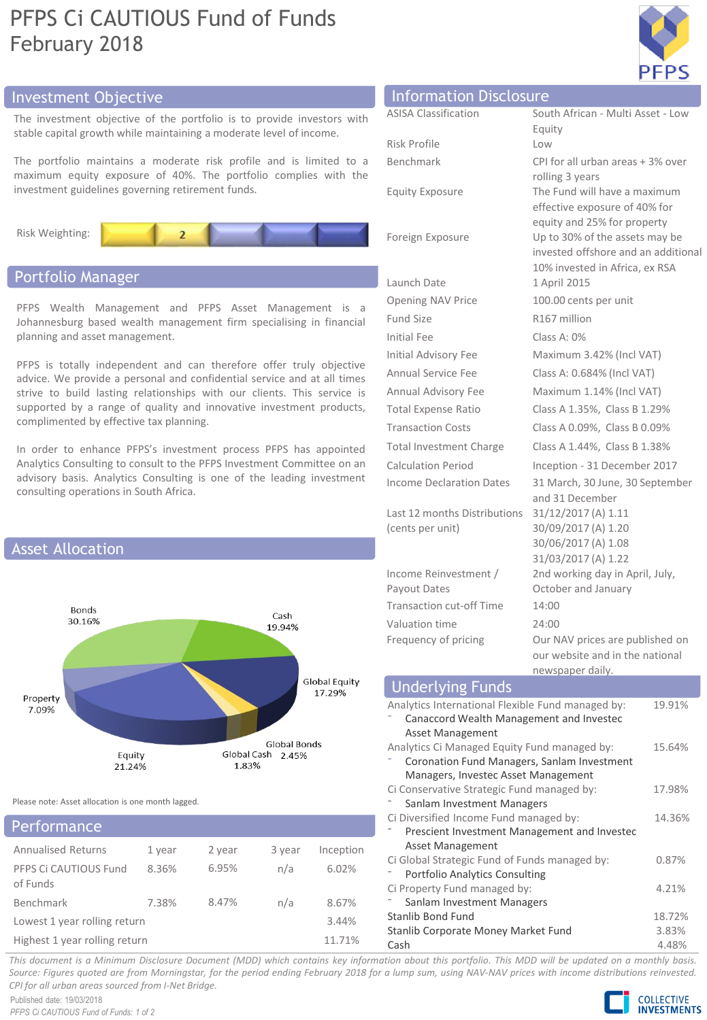# PFPS Ci CAUTIOUS Fund of Funds February 2018



# Investment Objective Information Disclosure

The investment objective of the portfolio is to provide investors with stable capital growth while maintaining a moderate level of income.

The portfolio maintains a moderate risk profile and is limited to a maximum equity exposure of 40%. The portfolio complies with the investment guidelines governing retirement funds.



# Portfolio Manager

PFPS Wealth Management and PFPS Asset Management is a Johannesburg based wealth management firm specialising in financial planning and asset management.

PFPS is totally independent and can therefore offer truly objective advice. We provide a personal and confidential service and at all times strive to build lasting relationships with our clients. This service is supported by a range of quality and innovative investment products, complimented by effective tax planning.

In order to enhance PFPS's investment process PFPS has appointed Analytics Consulting to consult to the PFPS Investment Committee on an advisory basis. Analytics Consulting is one of the leading investment consulting operations in South Africa.



Please note: Asset allocation is one month lagged.

# Annualised Returns 1 year 2 year 3 year Inception PFPS Ci CAUTIOUS Fund of Funds 8.36% 6.95% n/a 6.02% Benchmark 7.38% 8.47% n/a 8.67% Lowest 1 year rolling return 3.44% Highest 1 year rolling return 11.71% **Performance**

| <b>INTOITIRETON DISCLOSURE</b>  |                                                                     |
|---------------------------------|---------------------------------------------------------------------|
| <b>ASISA Classification</b>     | South African - Multi Asset - Low                                   |
|                                 | Equity                                                              |
| Risk Profile                    | Low                                                                 |
| Benchmark                       | CPI for all urban areas + 3% over                                   |
|                                 | rolling 3 years                                                     |
| <b>Equity Exposure</b>          | The Fund will have a maximum<br>effective exposure of 40% for       |
|                                 | equity and 25% for property                                         |
| Foreign Exposure                | Up to 30% of the assets may be                                      |
|                                 | invested offshore and an additional                                 |
|                                 | 10% invested in Africa, ex RSA                                      |
| Launch Date                     | 1 April 2015                                                        |
| <b>Opening NAV Price</b>        | 100.00 cents per unit                                               |
| Fund Size                       | R167 million                                                        |
| <b>Initial Fee</b>              | Class A: 0%                                                         |
| Initial Advisory Fee            | Maximum 3.42% (Incl VAT)                                            |
| <b>Annual Service Fee</b>       | Class A: 0.684% (Incl VAT)                                          |
| Annual Advisory Fee             | Maximum 1.14% (Incl VAT)                                            |
| <b>Total Expense Ratio</b>      | Class A 1.35%, Class B 1.29%                                        |
| <b>Transaction Costs</b>        | Class A 0.09%, Class B 0.09%                                        |
| Total Investment Charge         | Class A 1.44%, Class B 1.38%                                        |
| <b>Calculation Period</b>       | Inception - 31 December 2017                                        |
| <b>Income Declaration Dates</b> | 31 March, 30 June, 30 September<br>and 31 December                  |
| Last 12 months Distributions    | 31/12/2017 (A) 1.11                                                 |
| (cents per unit)                | 30/09/2017 (A) 1.20                                                 |
|                                 | 30/06/2017 (A) 1.08                                                 |
|                                 | 31/03/2017 (A) 1.22                                                 |
| Income Reinvestment /           | 2nd working day in April, July,                                     |
| Payout Dates                    | October and January                                                 |
| <b>Transaction cut-off Time</b> | 14:00                                                               |
| Valuation time                  | 74:00                                                               |
| Frequency of pricing            | Our NAV prices are published on<br>امعمئلهم مطهمنا امعم ملزمطوس سرم |

#### our website and in the national newspaper daily. Underlying Funds Analytics International Flexible Fund managed by: ⁻ Canaccord Wealth Management and Investec Asset Management 19.91% Analytics Ci Managed Equity Fund managed by: ⁻ Coronation Fund Managers, Sanlam Investment Managers, Investec Asset Management 15.64% Ci Conservative Strategic Fund managed by: Sanlam Investment Managers 17.98% Ci Diversified Income Fund managed by: ⁻ Prescient Investment Management and Investec Asset Management Ci Global Strategic Fund of Funds managed by: ⁻ Portfolio Analytics Consulting 14.36% 0.87% Ci Property Fund managed by: Sanlam Investment Managers 4.21% Stanlib Bond Fund 18.72% Stanlib Corporate Money Market Fund 3.83% Cash 4.48%

This document is a Minimum Disclosure Document (MDD) which contains key information about this portfolio. This MDD will be updated on a monthly basis. Source: Figures quoted are from Morningstar, for the period ending February 2018 for a lump sum, using NAV-NAV prices with income distributions reinvested. *CPI for all urban areas sourced from I-Net Bridge.*

Published date: 19/03/2018 *PFPS Ci CAUTIOUS Fund of Funds: 1 of 2*